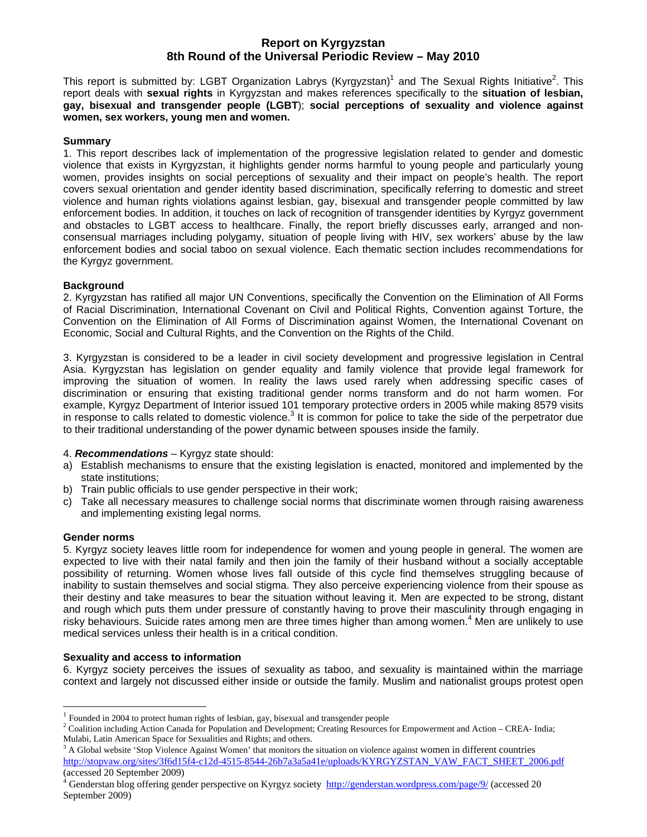# **Report on Kyrgyzstan 8th Round of the Universal Periodic Review – May 2010**

This report is submitted by: LGBT Organization Labrys (Kyrgyzstan)<sup>1</sup> and The Sexual Rights Initiative<sup>2</sup>. This report deals with **sexual rights** in Kyrgyzstan and makes references specifically to the **situation of lesbian, gay, bisexual and transgender people (LGBT**); **social perceptions of sexuality and violence against women, sex workers, young men and women.** 

#### **Summary**

1. This report describes lack of implementation of the progressive legislation related to gender and domestic violence that exists in Kyrgyzstan, it highlights gender norms harmful to young people and particularly young women, provides insights on social perceptions of sexuality and their impact on people's health. The report covers sexual orientation and gender identity based discrimination, specifically referring to domestic and street violence and human rights violations against lesbian, gay, bisexual and transgender people committed by law enforcement bodies. In addition, it touches on lack of recognition of transgender identities by Kyrgyz government and obstacles to LGBT access to healthcare. Finally, the report briefly discusses early, arranged and nonconsensual marriages including polygamy, situation of people living with HIV, sex workers' abuse by the law enforcement bodies and social taboo on sexual violence. Each thematic section includes recommendations for the Kyrgyz government.

#### **Background**

2. Kyrgyzstan has ratified all major UN Conventions, specifically the Convention on the Elimination of All Forms of Racial Discrimination, International Covenant on Civil and Political Rights, Convention against Torture, the Convention on the Elimination of All Forms of Discrimination against Women, the International Covenant on Economic, Social and Cultural Rights, and the Convention on the Rights of the Child.

3. Kyrgyzstan is considered to be a leader in civil society development and progressive legislation in Central Asia. Kyrgyzstan has legislation on gender equality and family violence that provide legal framework for improving the situation of women. In reality the laws used rarely when addressing specific cases of discrimination or ensuring that existing traditional gender norms transform and do not harm women. For example, Kyrgyz Department of Interior issued 101 temporary protective orders in 2005 while making 8579 visits in response to calls related to domestic violence.<sup>3</sup> It is common for police to take the side of the perpetrator due to their traditional understanding of the power dynamic between spouses inside the family.

#### 4. *Recommendations* – Kyrgyz state should:

- a) Establish mechanisms to ensure that the existing legislation is enacted, monitored and implemented by the state institutions;
- b) Train public officials to use gender perspective in their work;
- c) Take all necessary measures to challenge social norms that discriminate women through raising awareness and implementing existing legal norms.

#### **Gender norms**

 $\overline{a}$ 

5. Kyrgyz society leaves little room for independence for women and young people in general. The women are expected to live with their natal family and then join the family of their husband without a socially acceptable possibility of returning. Women whose lives fall outside of this cycle find themselves struggling because of inability to sustain themselves and social stigma. They also perceive experiencing violence from their spouse as their destiny and take measures to bear the situation without leaving it. Men are expected to be strong, distant and rough which puts them under pressure of constantly having to prove their masculinity through engaging in risky behaviours. Suicide rates among men are three times higher than among women.<sup>4</sup> Men are unlikely to use medical services unless their health is in a critical condition.

#### **Sexuality and access to information**

6. Kyrgyz society perceives the issues of sexuality as taboo, and sexuality is maintained within the marriage context and largely not discussed either inside or outside the family. Muslim and nationalist groups protest open

<sup>3</sup> A Global website 'Stop Violence Against Women' that monitors the situation on violence against women in different countries http://stopvaw.org/sites/3f6d15f4-c12d-4515-8544-26b7a3a5a41e/uploads/KYRGYZSTAN\_VAW\_FACT\_SHEET\_2006.pdf (accessed 20 September 2009)

<sup>&</sup>lt;sup>1</sup> Founded in 2004 to protect human rights of lesbian, gay, bisexual and transgender people

<sup>&</sup>lt;sup>2</sup> Coalition including Action Canada for Population and Development; Creating Resources for Empowerment and Action – CREA- India; Mulabi, Latin American Space for Sexualities and Rights; and others.

<sup>&</sup>lt;sup>4</sup> Genderstan blog offering gender perspective on Kyrgyz society http://genderstan.wordpress.com/page/9/ (accessed 20 September 2009)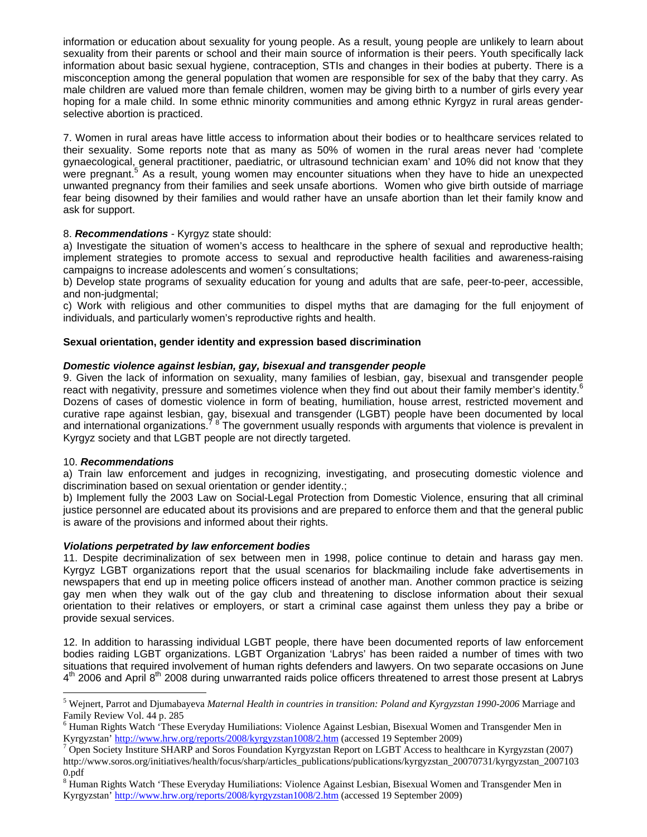information or education about sexuality for young people. As a result, young people are unlikely to learn about sexuality from their parents or school and their main source of information is their peers. Youth specifically lack information about basic sexual hygiene, contraception, STIs and changes in their bodies at puberty. There is a misconception among the general population that women are responsible for sex of the baby that they carry. As male children are valued more than female children, women may be giving birth to a number of girls every year hoping for a male child. In some ethnic minority communities and among ethnic Kyrgyz in rural areas genderselective abortion is practiced.

7. Women in rural areas have little access to information about their bodies or to healthcare services related to their sexuality. Some reports note that as many as 50% of women in the rural areas never had 'complete gynaecological, general practitioner, paediatric, or ultrasound technician exam' and 10% did not know that they were pregnant.<sup>5</sup> As a result, young women may encounter situations when they have to hide an unexpected unwanted pregnancy from their families and seek unsafe abortions. Women who give birth outside of marriage fear being disowned by their families and would rather have an unsafe abortion than let their family know and ask for support.

## 8. *Recommendations* - Kyrgyz state should:

a) Investigate the situation of women's access to healthcare in the sphere of sexual and reproductive health; implement strategies to promote access to sexual and reproductive health facilities and awareness-raising campaigns to increase adolescents and women´s consultations;

b) Develop state programs of sexuality education for young and adults that are safe, peer-to-peer, accessible, and non-judgmental;

c) Work with religious and other communities to dispel myths that are damaging for the full enjoyment of individuals, and particularly women's reproductive rights and health.

#### **Sexual orientation, gender identity and expression based discrimination**

#### *Domestic violence against lesbian, gay, bisexual and transgender people*

9. Given the lack of information on sexuality, many families of lesbian, gay, bisexual and transgender people react with negativity, pressure and sometimes violence when they find out about their family member's identity.<sup>6</sup> Dozens of cases of domestic violence in form of beating, humiliation, house arrest, restricted movement and curative rape against lesbian, gay, bisexual and transgender (LGBT) people have been documented by local and international organizations.<sup>78</sup> The government usually responds with arguments that violence is prevalent in Kyrgyz society and that LGBT people are not directly targeted.

#### 10. *Recommendations*

 $\overline{a}$ 

a) Train law enforcement and judges in recognizing, investigating, and prosecuting domestic violence and discrimination based on sexual orientation or gender identity.;

b) Implement fully the 2003 Law on Social-Legal Protection from Domestic Violence, ensuring that all criminal justice personnel are educated about its provisions and are prepared to enforce them and that the general public is aware of the provisions and informed about their rights.

#### *Violations perpetrated by law enforcement bodies*

11. Despite decriminalization of sex between men in 1998, police continue to detain and harass gay men. Kyrgyz LGBT organizations report that the usual scenarios for blackmailing include fake advertisements in newspapers that end up in meeting police officers instead of another man. Another common practice is seizing gay men when they walk out of the gay club and threatening to disclose information about their sexual orientation to their relatives or employers, or start a criminal case against them unless they pay a bribe or provide sexual services.

12. In addition to harassing individual LGBT people, there have been documented reports of law enforcement bodies raiding LGBT organizations. LGBT Organization 'Labrys' has been raided a number of times with two situations that required involvement of human rights defenders and lawyers. On two separate occasions on June  $4<sup>th</sup>$  2006 and April 8<sup>th</sup> 2008 during unwarranted raids police officers threatened to arrest those present at Labrys

<sup>&</sup>lt;sup>5</sup> Wejnert, Parrot and Djumabayeva Maternal Health in countries in transition: Poland and Kyrgyzstan 1990-2006 Marriage and Family Review Vol. 44 p. 285

<sup>&</sup>lt;sup>6</sup> Human Rights Watch 'These Everyday Humiliations: Violence Against Lesbian, Bisexual Women and Transgender Men in Kyrgyzstan' http://www.hrw.org/reports/2008/kyrgyzstan1008/2.htm (accessed 19 September 2009)

<sup>&</sup>lt;sup>7</sup> Open Society Institure SHARP and Soros Foundation Kyrgyzstan Report on LGBT Access to healthcare in Kyrgyzstan (2007) http://www.soros.org/initiatives/health/focus/sharp/articles\_publications/publications/kyrgyzstan\_20070731/kyrgyzstan\_2007103 0.pdf

<sup>&</sup>lt;sup>8</sup> Human Rights Watch 'These Everyday Humiliations: Violence Against Lesbian, Bisexual Women and Transgender Men in Kyrgyzstan' http://www.hrw.org/reports/2008/kyrgyzstan1008/2.htm (accessed 19 September 2009)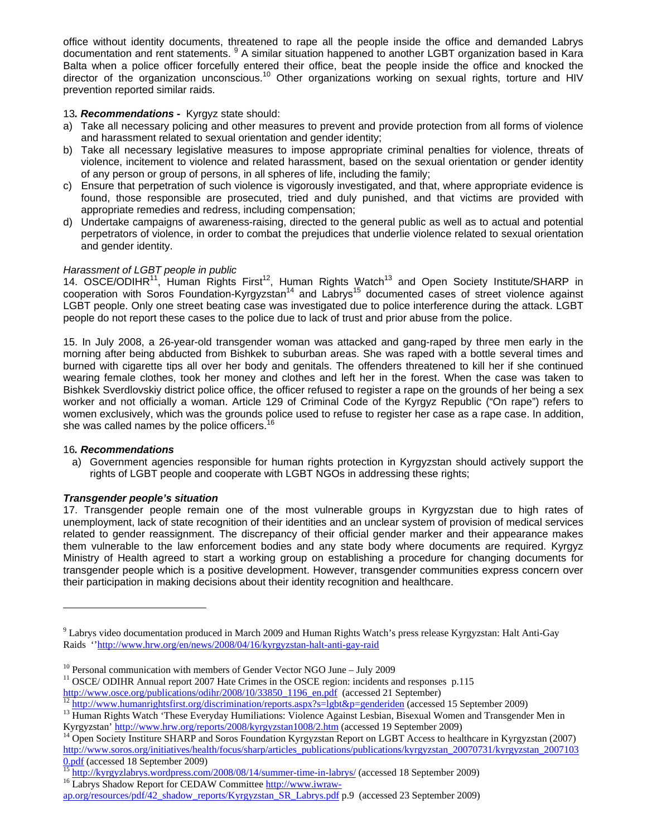office without identity documents, threatened to rape all the people inside the office and demanded Labrys documentation and rent statements. <sup>9</sup> A similar situation happened to another LGBT organization based in Kara Balta when a police officer forcefully entered their office, beat the people inside the office and knocked the director of the organization unconscious.<sup>10</sup> Other organizations working on sexual rights, torture and HIV prevention reported similar raids.

## 13*. Recommendations -* Kyrgyz state should:

- a) Take all necessary policing and other measures to prevent and provide protection from all forms of violence and harassment related to sexual orientation and gender identity;
- b) Take all necessary legislative measures to impose appropriate criminal penalties for violence, threats of violence, incitement to violence and related harassment, based on the sexual orientation or gender identity of any person or group of persons, in all spheres of life, including the family;
- c) Ensure that perpetration of such violence is vigorously investigated, and that, where appropriate evidence is found, those responsible are prosecuted, tried and duly punished, and that victims are provided with appropriate remedies and redress, including compensation;
- d) Undertake campaigns of awareness-raising, directed to the general public as well as to actual and potential perpetrators of violence, in order to combat the prejudices that underlie violence related to sexual orientation and gender identity.

## *Harassment of LGBT people in public*

14. OSCE/ODIHR<sup>11</sup>, Human Rights First<sup>12</sup>, Human Rights Watch<sup>13</sup> and Open Society Institute/SHARP in cooperation with Soros Foundation-Kyrgyzstan<sup>14</sup> and Labrys<sup>15</sup> documented cases of street violence against LGBT people. Only one street beating case was investigated due to police interference during the attack. LGBT people do not report these cases to the police due to lack of trust and prior abuse from the police.

15. In July 2008, a 26-year-old transgender woman was attacked and gang-raped by three men early in the morning after being abducted from Bishkek to suburban areas. She was raped with a bottle several times and burned with cigarette tips all over her body and genitals. The offenders threatened to kill her if she continued wearing female clothes, took her money and clothes and left her in the forest. When the case was taken to Bishkek Sverdlovskiy district police office, the officer refused to register a rape on the grounds of her being a sex worker and not officially a woman. Article 129 of Criminal Code of the Kyrgyz Republic ("On rape") refers to women exclusively, which was the grounds police used to refuse to register her case as a rape case. In addition, she was called names by the police officers.<sup>16</sup>

#### 16*. Recommendations*

 $\overline{a}$ 

a) Government agencies responsible for human rights protection in Kyrgyzstan should actively support the rights of LGBT people and cooperate with LGBT NGOs in addressing these rights;

#### *Transgender people's situation*

17. Transgender people remain one of the most vulnerable groups in Kyrgyzstan due to high rates of unemployment, lack of state recognition of their identities and an unclear system of provision of medical services related to gender reassignment. The discrepancy of their official gender marker and their appearance makes them vulnerable to the law enforcement bodies and any state body where documents are required. Kyrgyz Ministry of Health agreed to start a working group on establishing a procedure for changing documents for transgender people which is a positive development. However, transgender communities express concern over their participation in making decisions about their identity recognition and healthcare.

<sup>9</sup> Labrys video documentation produced in March 2009 and Human Rights Watch's press release Kyrgyzstan: Halt Anti-Gay Raids ''http://www.hrw.org/en/news/2008/04/16/kyrgyzstan-halt-anti-gay-raid

 $10$  Personal communication with members of Gender Vector NGO June – July 2009

<sup>&</sup>lt;sup>11</sup> OSCE/ ODIHR Annual report 2007 Hate Crimes in the OSCE region: incidents and responses p.115 http://www.osce.org/publications/odihr/2008/10/33850\_1196\_en.pdf (accessed 21 September)

 $\frac{12 \text{ http://www.humanrightstrict.org/discrimination/reports.aspx?s=lgbt&p=genderiden} (accessed 15 September 2009)$   $\frac{13 \text{ Human Rights Watch 'These Everyday Hamiltons: Violence Against Lesbian, Bisexual Women and Transgender Men in} (accessed 15 September 2009)$ 

Kyrgyzstan' http://www.hrw.org/reports/2008/kyrgyzstan1008/2.htm (accessed 19 September 2009) <sup>14</sup> Open Society Institure SHARP and Soros Foundation Kyrgyzstan Report on LGBT Access to healthcare in Kyrgyzstan (2007) http://www.soros.org/initiatives/health/focus/sharp/articles\_publications/publications/kyrgyzstan\_20070731/kyrgyzstan\_2007103

<sup>0.</sup>pdf (accessed 18 September 2009)<br><sup>15</sup> http://kyrgyzlabrys.wordpress.com/2008/08/14/summer-time-in-labrys/ (accessed 18 September 2009)<br><sup>16</sup> Labrys Shadow Report for CEDAW Committee http://www.iwraw-

ap.org/resources/pdf/42\_shadow\_reports/Kyrgyzstan\_SR\_Labrys.pdf p.9 (accessed 23 September 2009)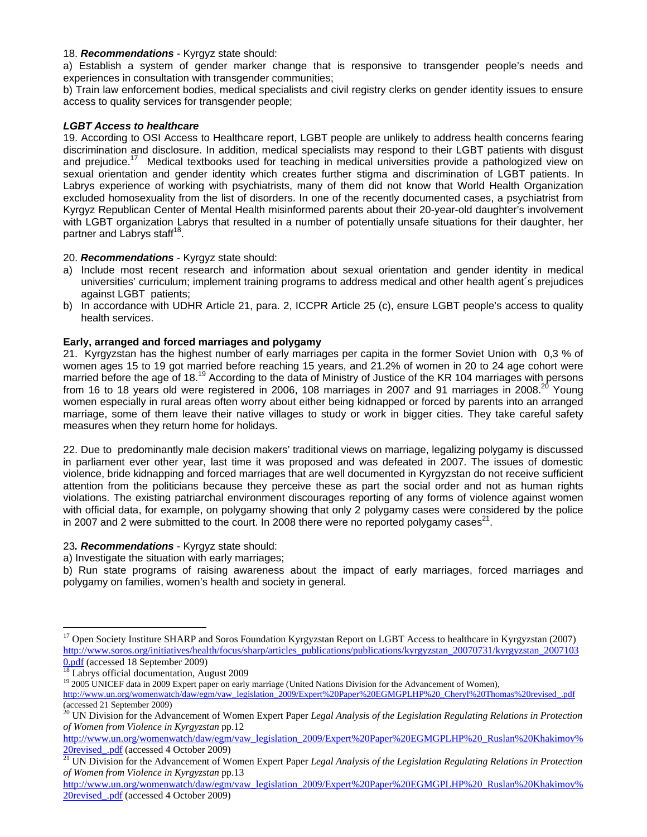#### 18. *Recommendations* - Kyrgyz state should:

a) Establish a system of gender marker change that is responsive to transgender people's needs and experiences in consultation with transgender communities;

b) Train law enforcement bodies, medical specialists and civil registry clerks on gender identity issues to ensure access to quality services for transgender people;

### *LGBT Access to healthcare*

19. According to OSI Access to Healthcare report, LGBT people are unlikely to address health concerns fearing discrimination and disclosure. In addition, medical specialists may respond to their LGBT patients with disgust and prejudice.<sup>17</sup> Medical textbooks used for teaching in medical universities provide a pathologized view on sexual orientation and gender identity which creates further stigma and discrimination of LGBT patients. In Labrys experience of working with psychiatrists, many of them did not know that World Health Organization excluded homosexuality from the list of disorders. In one of the recently documented cases, a psychiatrist from Kyrgyz Republican Center of Mental Health misinformed parents about their 20-year-old daughter's involvement with LGBT organization Labrys that resulted in a number of potentially unsafe situations for their daughter, her partner and Labrys staff<sup>18</sup>.

## 20. *Recommendations* - Kyrgyz state should:

- a) Include most recent research and information about sexual orientation and gender identity in medical universities' curriculum; implement training programs to address medical and other health agent´s prejudices against LGBT patients;
- b) In accordance with UDHR Article 21, para. 2, ICCPR Article 25 (c), ensure LGBT people's access to quality health services.

## **Early, arranged and forced marriages and polygamy**

21. Kyrgyzstan has the highest number of early marriages per capita in the former Soviet Union with 0,3 % of women ages 15 to 19 got married before reaching 15 years, and 21.2% of women in 20 to 24 age cohort were married before the age of 18.<sup>19</sup> According to the data of Ministry of Justice of the KR 104 marriages with persons from 16 to 18 years old were registered in 2006, 108 marriages in 2007 and 91 marriages in 2008.<sup>20</sup> Young women especially in rural areas often worry about either being kidnapped or forced by parents into an arranged marriage, some of them leave their native villages to study or work in bigger cities. They take careful safety measures when they return home for holidays.

22. Due to predominantly male decision makers' traditional views on marriage, legalizing polygamy is discussed in parliament ever other year, last time it was proposed and was defeated in 2007. The issues of domestic violence, bride kidnapping and forced marriages that are well documented in Kyrgyzstan do not receive sufficient attention from the politicians because they perceive these as part the social order and not as human rights violations. The existing patriarchal environment discourages reporting of any forms of violence against women with official data, for example, on polygamy showing that only 2 polygamy cases were considered by the police in 2007 and 2 were submitted to the court. In 2008 there were no reported polygamy cases<sup>21</sup>.

#### 23*. Recommendations* - Kyrgyz state should:

a) Investigate the situation with early marriages;

b) Run state programs of raising awareness about the impact of early marriages, forced marriages and polygamy on families, women's health and society in general.

 $\overline{a}$ 

<sup>&</sup>lt;sup>17</sup> Open Society Institure SHARP and Soros Foundation Kyrgyzstan Report on LGBT Access to healthcare in Kyrgyzstan (2007) http://www.soros.org/initiatives/health/focus/sharp/articles\_publications/publications/kyrgyzstan\_20070731/kyrgyzstan\_2007103 0.pdf (accessed 18 September 2009) 18 Labrys official documentation, August 2009

<sup>&</sup>lt;sup>19</sup> 2005 UNICEF data in 2009 Expert paper on early marriage (United Nations Division for the Advancement of Women),

http://www.un.org/womenwatch/daw/egm/vaw\_legislation\_2009/Expert%20Paper%20EGMGPLHP%20\_Cheryl%20Thomas%20revised\_.pdf (accessed 21 September 2009)

<sup>&</sup>lt;sup>20</sup> UN Division for the Advancement of Women Expert Paper *Legal Analysis of the Legislation Regulating Relations in Protection of Women from Violence in Kyrgyzstan* pp.12

http://www.un.org/womenwatch/daw/egm/vaw\_legislation\_2009/Expert%20Paper%20EGMGPLHP%20\_Ruslan%20Khakimov%

<sup>20</sup>revised\_.pdf (accessed 4 October 2009) 21 UN Division for the Advancement of Women Expert Paper *Legal Analysis of the Legislation Regulating Relations in Protection of Women from Violence in Kyrgyzstan* pp.13

http://www.un.org/womenwatch/daw/egm/vaw\_legislation\_2009/Expert%20Paper%20EGMGPLHP%20\_Ruslan%20Khakimov% 20revised .pdf (accessed 4 October 2009)